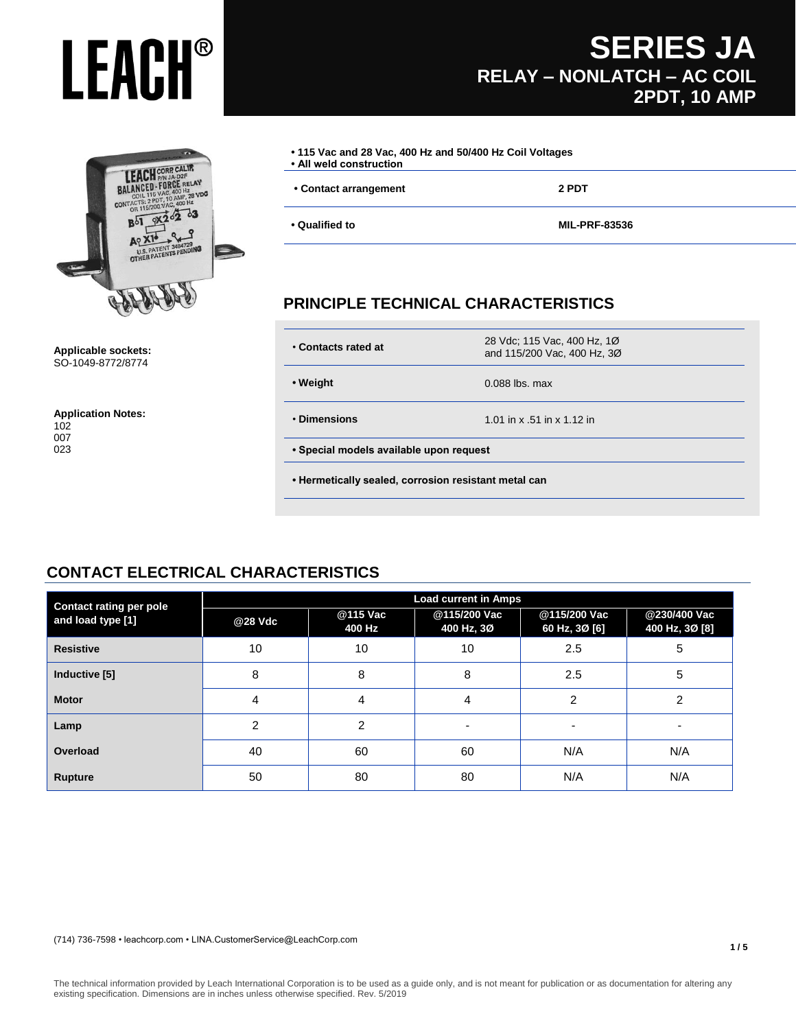## **LEACH SONG CALIR**<br>BALANCED FORCE RELAY<br>BALANCED FORCE RELAY<br>CONTACTS: 2000 VAC 400 Hz<br>CONTACTS: 2000 VAC 400 Hz<br>CONTACTS: 2000 VAC 400 Hz<br>- 10 20 20 3 DE 200 VAC. 400 HZ  $\overline{S}$ 4729<br>ENDING U.S. PATENT 34847

#### **Applicable sockets:** SO-1049-8772/8774

**Application Notes:** 102 007 023

### **SERIES JA RELAY – NONLATCH – AC COIL 2PDT, 10 AMP**

| • 115 Vac and 28 Vac, 400 Hz and 50/400 Hz Coil Voltages<br>• All weld construction |                      |
|-------------------------------------------------------------------------------------|----------------------|
| • Contact arrangement                                                               | 2 PDT                |
| • Qualified to                                                                      | <b>MIL-PRF-83536</b> |

### **PRINCIPLE TECHNICAL CHARACTERISTICS**

| • Weight                                | $0.088$ lbs. max           |  |
|-----------------------------------------|----------------------------|--|
| • Dimensions                            | 1.01 in x .51 in x 1.12 in |  |
| • Special models available upon request |                            |  |

### **CONTACT ELECTRICAL CHARACTERISTICS**

| <b>Contact rating per pole</b> |         |                    | <b>Load current in Amps</b> |                               |                                |
|--------------------------------|---------|--------------------|-----------------------------|-------------------------------|--------------------------------|
| and load type [1]              | @28 Vdc | @115 Vac<br>400 Hz | @115/200 Vac<br>400 Hz, 3Ø  | @115/200 Vac<br>60 Hz, 3Ø [6] | @230/400 Vac<br>400 Hz, 3Ø [8] |
| <b>Resistive</b>               | 10      | 10                 | 10                          | 2.5                           | 5                              |
| Inductive [5]                  | 8       | 8                  | 8                           | 2.5                           | 5                              |
| <b>Motor</b>                   | 4       | 4                  | 4                           | $\overline{2}$                | $\overline{2}$                 |
| Lamp                           | 2       | 2                  | ۰                           | ۰                             | -                              |
| Overload                       | 40      | 60                 | 60                          | N/A                           | N/A                            |
| <b>Rupture</b>                 | 50      | 80                 | 80                          | N/A                           | N/A                            |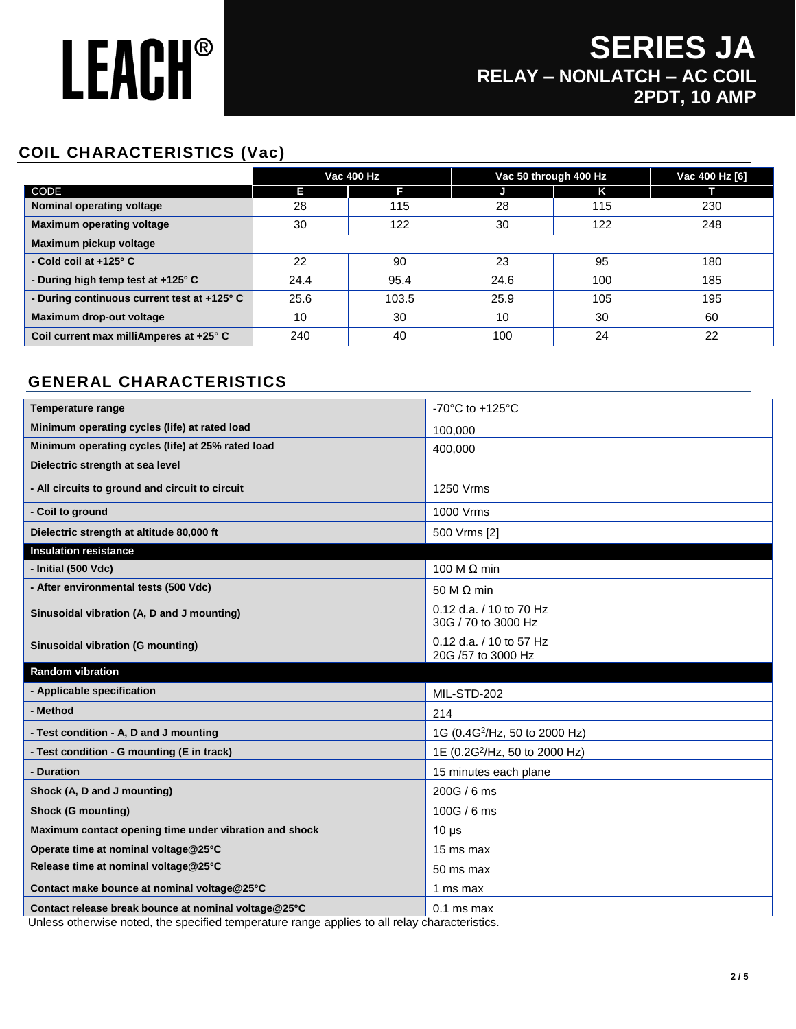## **SERIES JA RELAY – NONLATCH – AC COIL 2PDT, 10 AMP**

### **COIL CHARACTERISTICS (Vac)**

|                                             | <b>Vac 400 Hz</b> |       | Vac 50 through 400 Hz |     | Vac 400 Hz [6] |
|---------------------------------------------|-------------------|-------|-----------------------|-----|----------------|
| CODE                                        | Е                 | F     |                       | Κ   |                |
| Nominal operating voltage                   | 28                | 115   | 28                    | 115 | 230            |
| <b>Maximum operating voltage</b>            | 30                | 122   | 30                    | 122 | 248            |
| Maximum pickup voltage                      |                   |       |                       |     |                |
| - Cold coil at $+125^\circ$ C               | 22                | 90    | 23                    | 95  | 180            |
| - During high temp test at +125° C          | 24.4              | 95.4  | 24.6                  | 100 | 185            |
| - During continuous current test at +125° C | 25.6              | 103.5 | 25.9                  | 105 | 195            |
| Maximum drop-out voltage                    | 10                | 30    | 10                    | 30  | 60             |
| Coil current max milliAmperes at +25° C     | 240               | 40    | 100                   | 24  | 22             |

### **GENERAL CHARACTERISTICS**

| <b>Temperature range</b>                               | -70°C to +125°C                                |
|--------------------------------------------------------|------------------------------------------------|
| Minimum operating cycles (life) at rated load          | 100,000                                        |
| Minimum operating cycles (life) at 25% rated load      | 400,000                                        |
| Dielectric strength at sea level                       |                                                |
| - All circuits to ground and circuit to circuit        | 1250 Vrms                                      |
| - Coil to ground                                       | 1000 Vrms                                      |
| Dielectric strength at altitude 80,000 ft              | 500 Vrms [2]                                   |
| <b>Insulation resistance</b>                           |                                                |
| - Initial (500 Vdc)                                    | 100 M $\Omega$ min                             |
| - After environmental tests (500 Vdc)                  | 50 M $\Omega$ min                              |
| Sinusoidal vibration (A, D and J mounting)             | 0.12 d.a. / 10 to 70 Hz<br>30G / 70 to 3000 Hz |
| Sinusoidal vibration (G mounting)                      | 0.12 d.a. / 10 to 57 Hz                        |
|                                                        | 20G /57 to 3000 Hz                             |
| <b>Random vibration</b>                                |                                                |
| - Applicable specification                             | MIL-STD-202                                    |
| - Method                                               | 214                                            |
| - Test condition - A, D and J mounting                 | 1G (0.4G <sup>2</sup> /Hz, 50 to 2000 Hz)      |
| - Test condition - G mounting (E in track)             | 1E (0.2G <sup>2</sup> /Hz, 50 to 2000 Hz)      |
| - Duration                                             | 15 minutes each plane                          |
| Shock (A, D and J mounting)                            | 200G / 6ms                                     |
| <b>Shock (G mounting)</b>                              | 100G / 6 ms                                    |
| Maximum contact opening time under vibration and shock | $10 \mu s$                                     |
| Operate time at nominal voltage@25°C                   | 15 ms max                                      |
| Release time at nominal voltage@25°C                   | 50 ms max                                      |
| Contact make bounce at nominal voltage@25°C            | 1 ms max                                       |

Unless otherwise noted, the specified temperature range applies to all relay characteristics.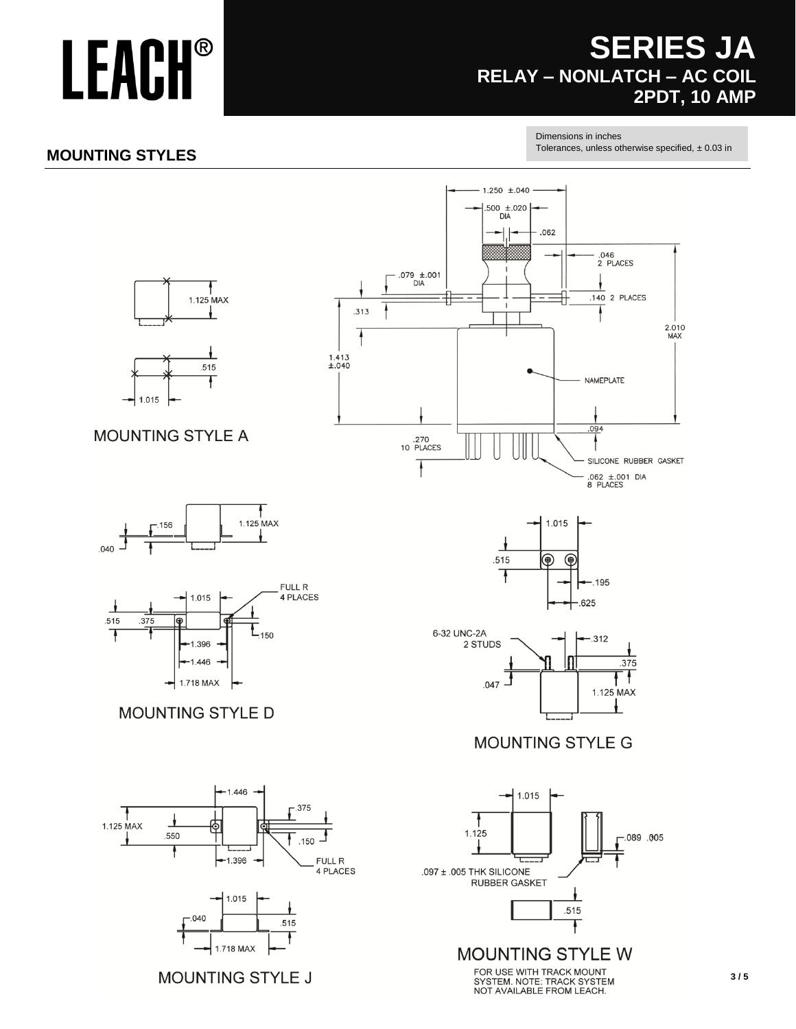## **SERIES JA** RELAY - NONLATCH - AC COIL **2PDT, 10 AMP**

#### Dimensions in inches

Tolerances, unless otherwise specified,  $\pm$  0.03 in

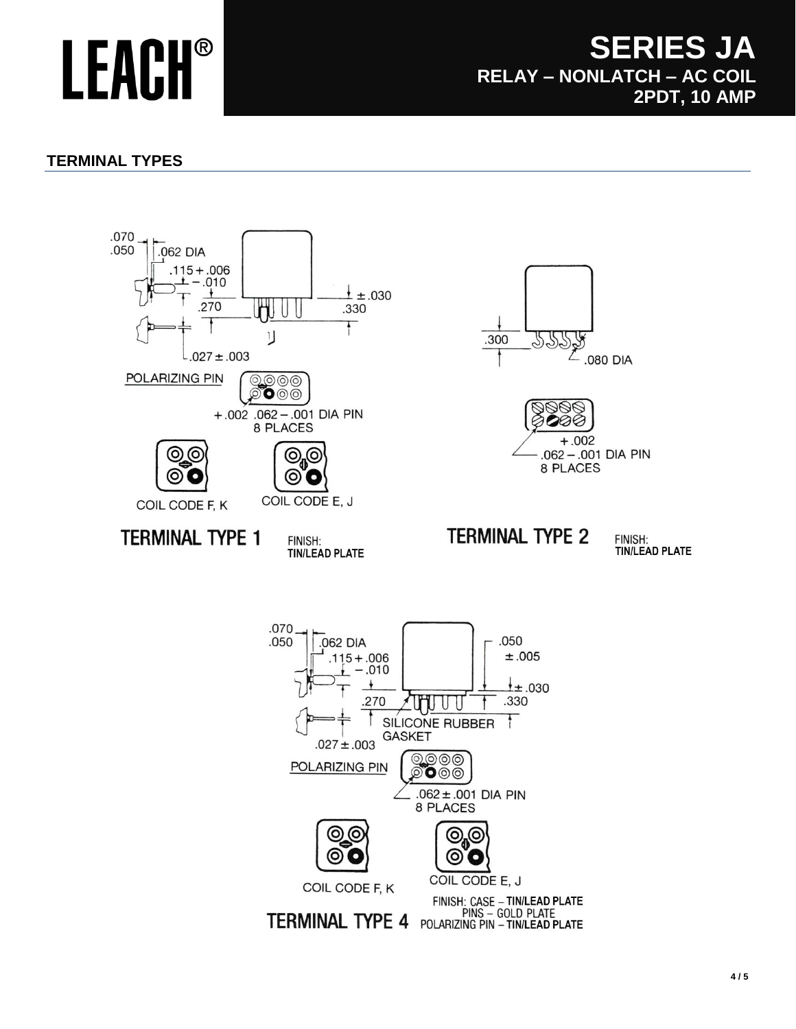### **SERIES JA RELAY – NONLATCH – AC COIL 2PDT, 10 AMP**

### **TERMINAL TYPES**